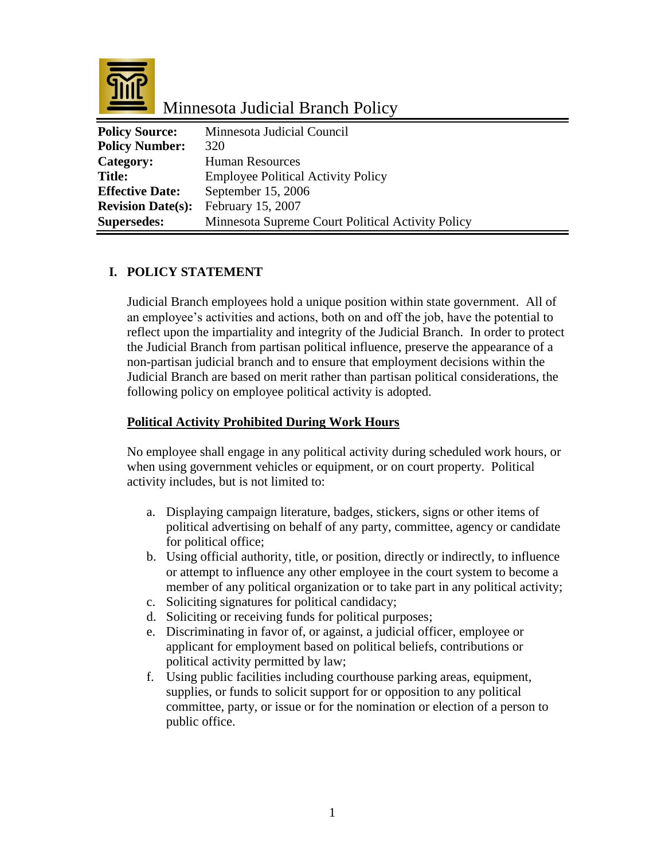

Minnesota Judicial Branch Policy

| <b>Policy Source:</b>    | Minnesota Judicial Council                        |
|--------------------------|---------------------------------------------------|
| <b>Policy Number:</b>    | 320                                               |
| Category:                | <b>Human Resources</b>                            |
| <b>Title:</b>            | <b>Employee Political Activity Policy</b>         |
| <b>Effective Date:</b>   | September 15, 2006                                |
| <b>Revision Date(s):</b> | February 15, 2007                                 |
| <b>Supersedes:</b>       | Minnesota Supreme Court Political Activity Policy |

# **I. POLICY STATEMENT**

Judicial Branch employees hold a unique position within state government. All of an employee's activities and actions, both on and off the job, have the potential to reflect upon the impartiality and integrity of the Judicial Branch. In order to protect the Judicial Branch from partisan political influence, preserve the appearance of a non-partisan judicial branch and to ensure that employment decisions within the Judicial Branch are based on merit rather than partisan political considerations, the following policy on employee political activity is adopted.

#### **Political Activity Prohibited During Work Hours**

No employee shall engage in any political activity during scheduled work hours, or when using government vehicles or equipment, or on court property. Political activity includes, but is not limited to:

- a. Displaying campaign literature, badges, stickers, signs or other items of political advertising on behalf of any party, committee, agency or candidate for political office;
- b. Using official authority, title, or position, directly or indirectly, to influence or attempt to influence any other employee in the court system to become a member of any political organization or to take part in any political activity;
- c. Soliciting signatures for political candidacy;
- d. Soliciting or receiving funds for political purposes;
- e. Discriminating in favor of, or against, a judicial officer, employee or applicant for employment based on political beliefs, contributions or political activity permitted by law;
- f. Using public facilities including courthouse parking areas, equipment, supplies, or funds to solicit support for or opposition to any political committee, party, or issue or for the nomination or election of a person to public office.